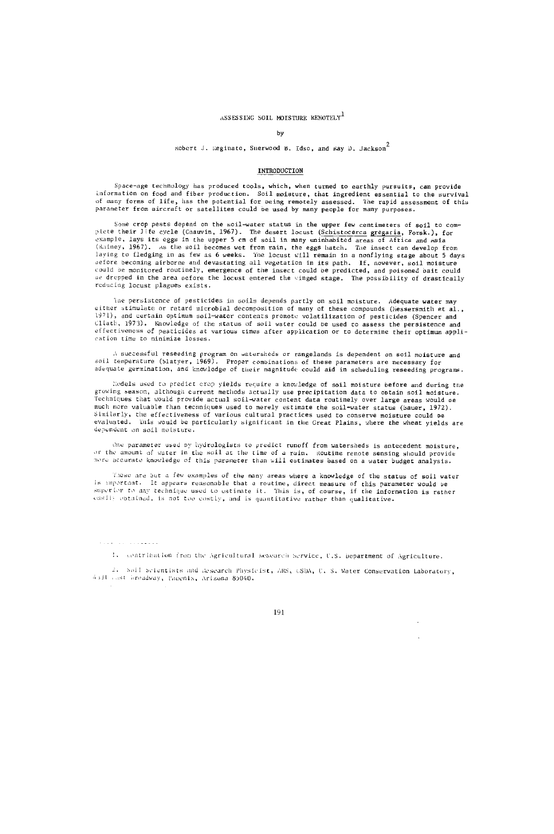# ASSESSING SOIL MOTSTURE REMOTELY<sup>1</sup>

#### by

### Robert J. Eeginato, Sherwood B. Idso, and Ray D. Jackson<sup>2</sup>

### INTRODUCTION

Space -age technology has produced tools, which, when turned to earthly pursuits, can provide information on food and fiber production. Soil moisture, that ingredient essential to the survival<br>of many forms of life, has the potential for being remotely assessed. The rapid assessment of this<br>parameter from aircraf

Some crop pests depend on the soil -water status in the upper few centimeters of soil to com-plete their life cycle (Chauvin, 1967). The desert locust (Schistocerca gregaria, Forsk.), for example, lays its eggs in the upper 5 cm of soil in many uninhabited areas of Africa and Asia (Rainey, 1967). As the soil becomes wet from rain, the eggs hatch. The insect can develop from laying to tledging in as few as 6 weeks. The locust will remain in a nonflying stage about 5 days<br>offore becoming airborne and devastating all vegetation in its path. If, nowever, soil moisture<br>could be monitored routinely reducing locust plagues exists.

The persistence of pesticides in soils depends partly on soil moisture. Adequate water may either stimulate or retard microbial decomposition of many of these compounds (Messersmith et al., 1971), and certain optimum soil-water contents promote volatilization of pesticides (Spencer and Cliath, 1973). Knowledge of the status of soil water could be used co assess the persistence and effectiveness of pesticides at various times after application or to determine their optimum application time to minimize losses.

!, successful reseeding program on watersheds or rangelands is dependent on soil moisture and soil temperature (Slatyer, 1969). Proper combinations of these parameters are necessary for<br>adequate germination, and knowledge of their magnitude could aid in scheduling reseeding programs.

hodels used to predict crop yields require a knowledge of soil moisture before and during the growing season, although current methods actually use precipitation data to obtain soil moisture. Techniques that would provide actual soil -water content data routinely over large areas would u much more valuable than techniques used to merely estimate the soil-water status (Bauer, 1972). Similarly, the effectiveness of various cultural practices used to conserve moisture could ne evaluated. This would be particularly significant in the Great Plains, where the wheat yields are dependent on soil moisture.

One parameter used by hydrologists to predict runoff from watersheds is antecedent moisture, of the amount of water in the soil at the time of a rain. (doutine remote sensing should provide<br>more accurate knowledge of this parameter than will estimates based on a water budget analysis.

These are but a few examples of the many areas where a knowledge of the status of soil water is important. It appears reasonable that a routine, direct measure of this parameter would be<br>superior to any technique used to estimate it. This is, of course, if the information is rather<br>susfly optained, is not too cost

It contribution from the Agricultural Research Service, U.S. bepartment of Agriculture.

2. Soil Scientists and Research Physicist, ARS, CSDA, U. S. Water Conservation Laboratory, 4331 ..st broadway, Pacenix, Arizona 85040.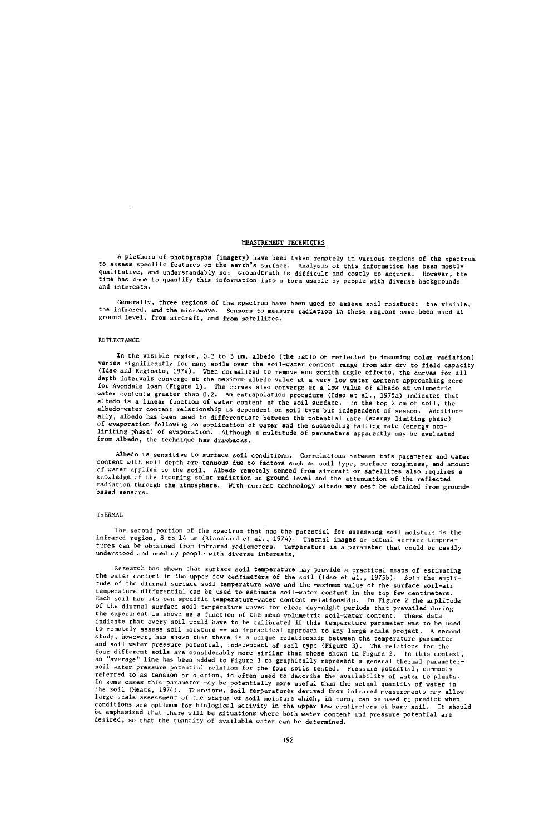# MEASUREMENT TECHNIQUES

A plethora of photographs (imagery) have been taken remotely in various regions of the spectrum to assess specific features on the earth's surface. Analysis of this information has been mostly qualitative, and understandably so: Groundtruth is difficult and costly to acquire. However, the time has come to quantify this information into a farm usable by people with diverse backgrounds and interests.

Generally, three regions of the spectrum have been used to assess soil moisture: the visible, the infrared, and the microwave. Sensors to measure radiation in these regions have been used at ground level, from aircraft, and from satellites.

# REFLECTANCE

 $\bar{z}$ 

In the visible region, 0.3 to 3 pm, albedo (the ratio of reflected to incoming solar radiation) varies significantly for many solis over the soil-water content range from air dry to field capacity<br>(Idso and Reginato, 1974). When normalized to remove sun zenith angle effects, the curves for all<br>depth intervals converg for Avondale loam (Figure 1). The curves also converge at a low value of albedo at volumetric water contents greater than 0.2. An extrapolation procedure (Idso et al., 1975a) indicates that albedo is a linear function of water content at the soil surface. In the top 2 cm of soil, the albedo-water content relationship is dependent on soil type but independent of season. Additionally, albedo has been used to differentiate between the potential rate (energy limiting phase) of evaporation following an application of water and the succeeding falling rate (energy non - limiting phase) of evaporation. Although a multitude of parameters apparently may be evaluated from albedo, the technique has drawbacks.

Albedo is sensitive to surface soil conditions. Correlations between this parameter and water content with soil depth are tenuous due to factors such as soil type, surface roughness, and amount of water applied to the soil. Albedo remotely sensed from aircraft or satellites also requires a knowledge of the incoming solar radiation at ground level and the attenuation of the reflected radiation through the atmosphere. With current technology albedo may best be obtained from groundbased sensors.

#### THERMAL

The second portion of the spectrum that has the potential for assessing soil moisture is the infrared region, 8 to 14 pm (Blanchard et al., 1974). Thermal images or actual surface tempera-tures can be obtained from infrared radiometers. Temperature is a parameter that could se easily understood and used oy people with diverse interests.

i. search has shown that surface soil temperature may provide a practical means of estimating the water content in the upper few centimeters of the soil (Idso et al., 1975b). Both the amplitude of the diurnal surface soil temperature wave and the maximum value of the surface soil -air temperature differential can be used to estimate soil -water content in the top few centimeters. Each soil has its own specific temperature -water content relationship. In Figure 2 the amplitude of the diurnal surface soil temperature waves for clear day -night periods that prevailed during the experiment is shown as a function of the mean volumetric soil -water content. These data indicate that every soil would have to be calibrated if this temperature parameter was to be used to remotely assess soil moisture -- an impractical approach to any large scale project. A second study, however, has shown that there is a unique relationship between the temperature parameter and soil -water pressure potential, independent of soil type (Figure 3). The relations fou the four different soils are considerably more similar than those shown in Figure 2. In this context,<br><sup>an "average" line has been added to Figure 3 to graphically represent a general thermal parameter-</sup> soil water pressure potential relation for the four soils tested. Pressure potential, commonly referred to as tension or suction, is often used to describe the availability of water to plants. In some cases this parameter may be potentially more useful than the actual quantity of water in the soil (Meats, 1974). Therefore, soil temperatures derived from infrared measurements may allow large scale assessment of the status of soil moisture which, in turn, can be used to predict when<br>conditions are optimum for biological activity in the upper few centimeters of bare soil. It should conditions are optimum for biological activity in the upper few centimeters of bare soil. be emphasized that there will be situations where both water content and pressure potential are desired, so that the quantity of available water can be determined.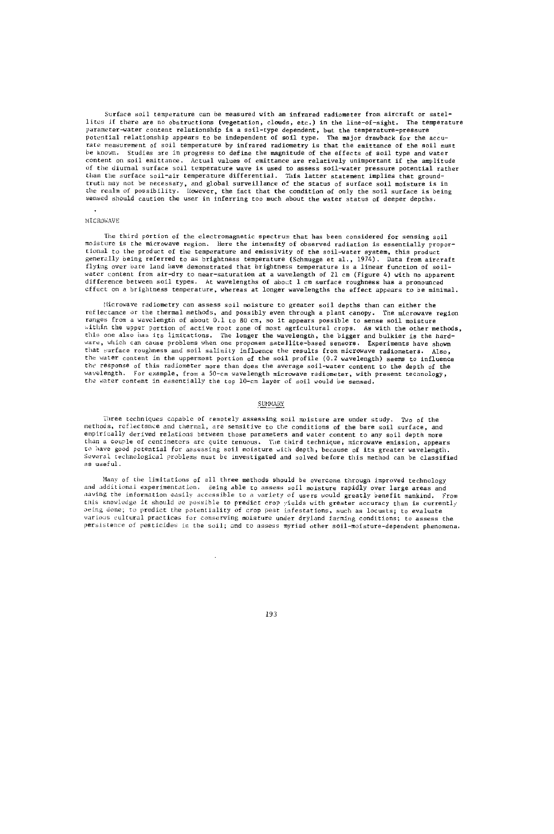Surface soil temperature can be measured with an infrared radiometer from aircraft or satellites if there are no obstructions (vegetation, clouds, etc.) in the line-of-sight. The temperature parameter-water content relationship is a soil-type dependent, but the temperature-pressure<br>potential relationship appears to be independent of soil type. The major drawback for the accurate measurement of soil temperature by infrared radiometry is that the emittance of the soil must be known. Studies are in progress to define the magnitude of the effects of soil type and water content on soil emittance. Actual values of emittance are relatively unimportant if the amplitude<br>of the diurnal surface soil temperature wave is used to assess soil—water pressure potential rather than the surface soil-air temperature differential. This latter statement implies that groundtruth may not be necessary, and global surveillance of the status of surface soil moisture is in the realm of possibility. However, the fact that the condition of only the soil surface is being sensed should caution the user in inferring too much about the water status of deeper depths.

#### MICROWAVE

The third portion of the electromagnetic spectrum that has been considered for sensing soil moisture is the microwave region. Here the intensity of observed radiation is essentially proportional to the product of the temperature and emissivity of the soil -water system, this product generally being referred to as brightness temperature (Schmugge et al., 1974). Data from aircraft flying over bare land have demonstrated that brightness temperature is a linear function of soilwater content from air-dry to near -saturation at a wavelength of 21 cm (Figure 4) with no apparent difference between soil types. At wavelengths of ahoat 1 cm surface roughness has a pronounced effect on a brightness temperature, whereas at longer wavelengths the effect appears to be minimal.

Microwave radiometry can ssess soil moisture to greater soil depths than can either the reflectance or the thermal methods, and possibly even through a plant canopy. Tne microwave region .ranges from a wavelength of about 0.1 to 80 cm, so it appears possible to sense soil moisture within the upper portion of active root zone of most agricultural crops. As with the other methods,<br>this one also has its limitations. The longer the wavelength, the bigger and bulkier is the hard-<br>ware, which can cause pr the water content in the uppermost portion of the soil profile (0.2 wavelength) seems to influence the response of this radiometer more than does the average soil -water content to the depth of the wavelength. For example, from a 50-cm wavelength microwave radiometer, with present technology, the water content in essentially the top 10-cm layer of soil would be sensed.

### SUMMARY

Three techniques capable of remotely assessing soil moisture are under study. Two of the methods, reflectance and thermal, are sensitive to the conditions of the bare soil surface, and empirically derived relations between those parameters and water content to any soil depth more than a couple of centimeters are quite tenuous. The third technique, microwave emission, appears to have good potential for assessing soil moisture with depth, because of its greater wavelength.<br>Several technological problems must be investigated and solved before this method can be classifi Sechnological problems must be investigated and solved before this method can be classified as useful.

Many of the limitations of all three methods should be overcome through improved technology and additional experimentation. Being able to assess soil moisture rapidly over large areas and having the information easily accessible to a variety of users would greatly benefit mankind. this knowledge it should be possible to predict crop yields with greater accuracy than is currently<br>peing done; to predict the potentiality of crop pest infestations, such as locusts; to evaluate various cultural practices for conserving moisture under dryland farming conditions; to assess the persistence of pesticides in the soil; and to assess myriad other soil- moisture- dependent phenomena.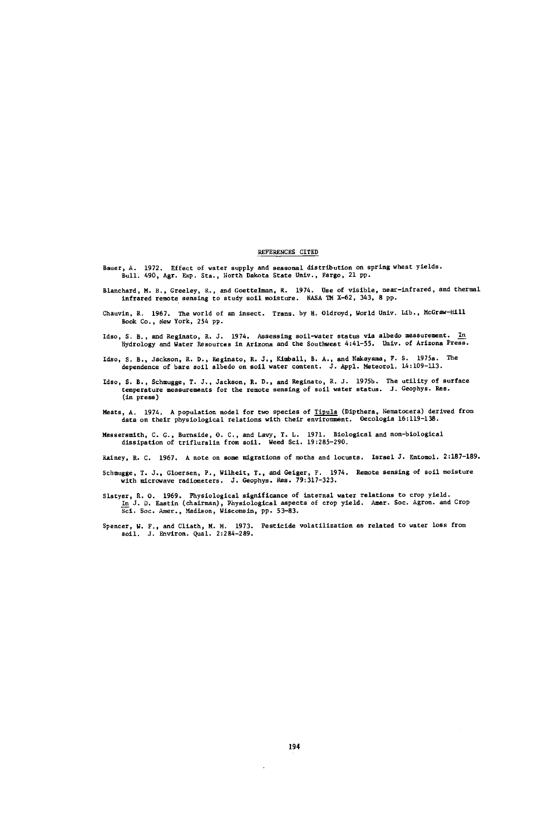### REFERENCES CITED

- Bauer, A. 1972. Effect of water supply and seasonal distribution on spring wheat yields. Bull. 490, Agr. Exp. Sta., North Dakota State Univ., Fargo, 21 pp.
- Blanchard, M. B., Greeley, R., and Goettelman, R. 1974. Use of visible, near -infrared, and thermal infrared remote sensing to study soil moisture. NASA TM X -62, 343, 8 pp.
- Chauvin, R. 1967. The world of an insect. Trans. by H. Oldroyd, World Univ. Lib., McGraw-Hill<br>Book Co., New York, 254 pp.
- Ideo, S. B., and Reginato, R. J. 1974. Assessing soil -water status via albedo measurement. In Hydrology and Water Resources in Arizona and the Southwest 4:41 -55. Univ. of Arizona Press.
- Idso, S. B., Jackson, R. D., Reginato, R. J., Kimball, B. A., and Nakayama, F. S. 1975a. The dependence of bare soil albedo on soil water content. J. Appl. Meteorol. 14:109 -113.
- Idso, S. B., Schmugge, T. J., Jackson, R. D., and Reginato, R. J. 1975b. The utility of surface temperature measurements for the remote sensing of soil water status. J. Geophys. Res. (in press)
- Meats, A. 1974. A population model for two species of Tipula (Dipthera, Nematocera) derived from data on their physiological relations with their environment. Oecologia 16:119-138.
- Messersmith, C. G., Burnside, O. C., and Lavy, T. L. 1971. Biological and non -biological dissipation of trifluralin from soil. Weed Sci. 19:285 -290.

Rainey, R. C. 1967. A note on some migrations of moths and locusts. Israel J. Entomol. 2:187-189.

- Schmugge, T. J., Gloersen, P., Wilheit, T., and Geiger, F. 1974. Remote sensing of soil moisture with microwave radiometers. J. Geophys. Res. 79:317 -323.
- Slatyer, R. O. 1969. Physiological significance of internal water relations to crop yield.<br>In J. D. Eastin (chairman), Physiological aspects of crop yield. Amer. Soc. Agron. and Crop<br>Sci. Soc. Amer., Madison, Wisconsin, pp
- Spencer, W. F., and Cliath, M. M. 1973. Pesticide volatilization as related to water loss from soil. J. Environ. Qual. 2:284 -289.

 $\ddot{\phantom{a}}$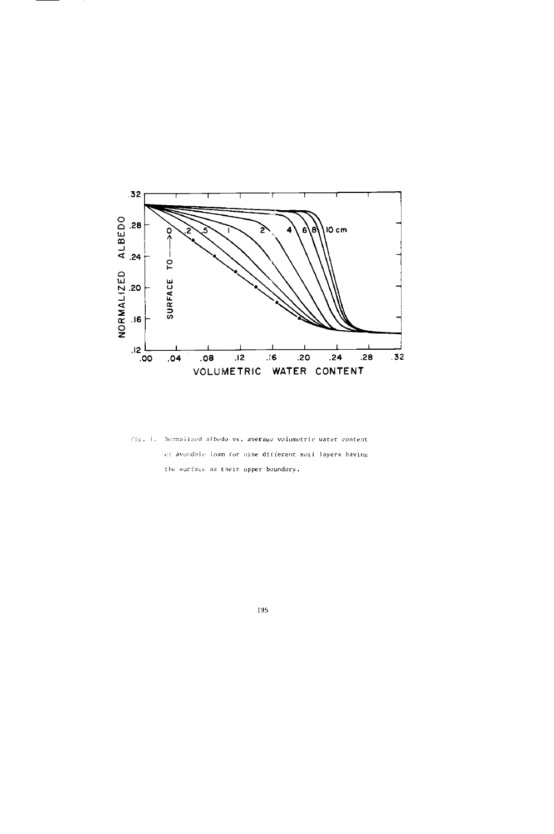

Fig. 1. Normalized albedo vs. average volumetric water content of Avondale loam for nine different soil layers having the surface as their upper boundary.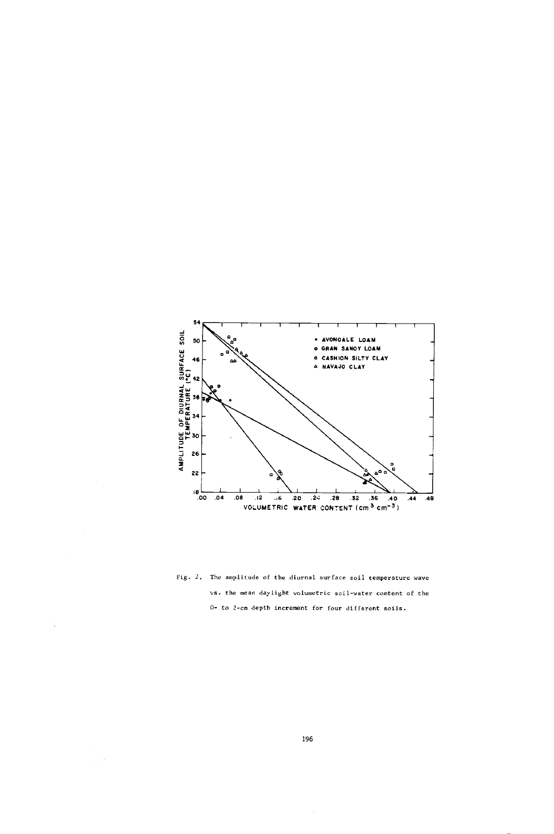

Fig. 2. The amplitude of the diurnal surface soil temperature wave vs. the mean daylight volumetric soil-water content of the 0- to 2-cm depth increment for four different soils.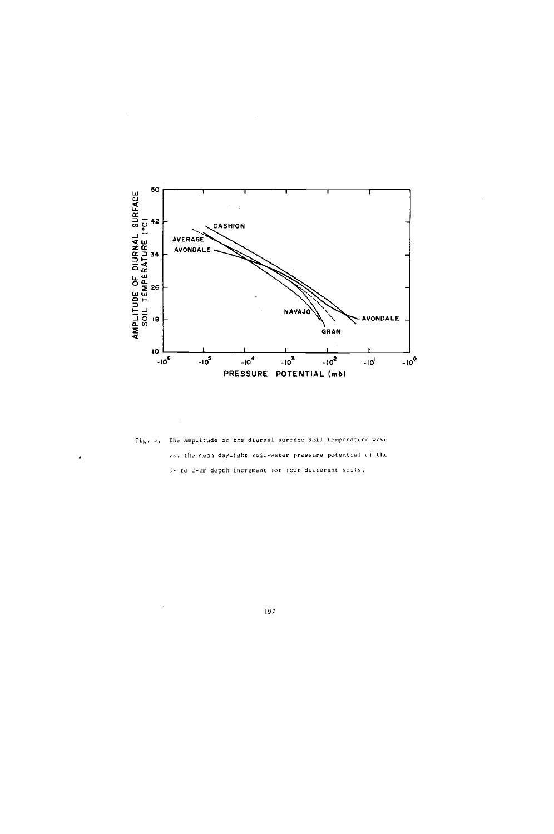

Fig. 3. The amplitude of the diurnal surface soil temperature wave vs. the mean daylight soil-water pressure potential of the 0+ to 2-cm depth increment for four different soils.

l.